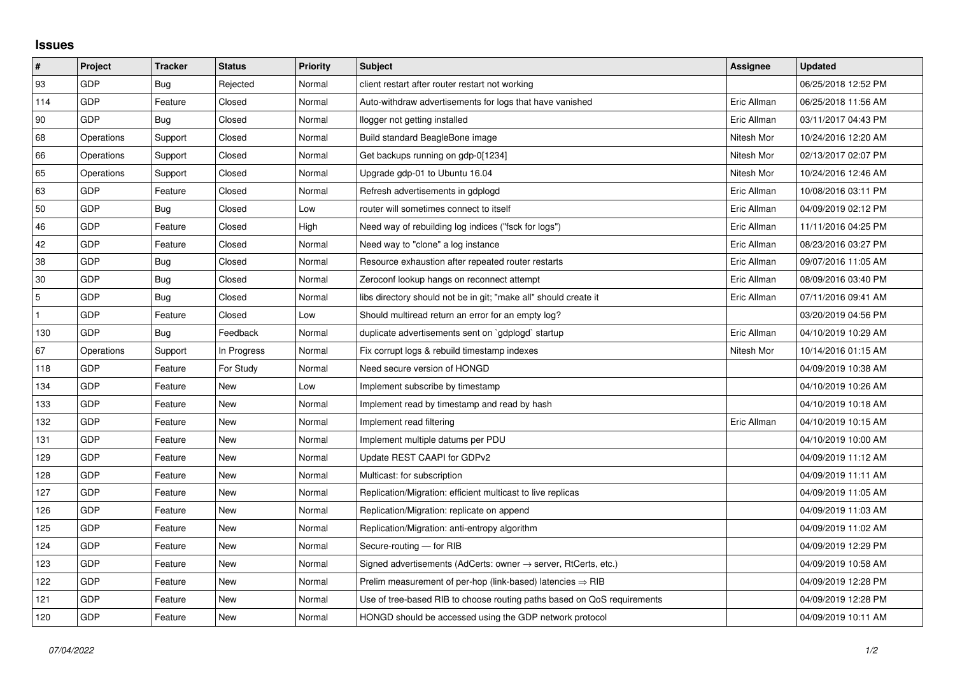## **Issues**

| $\vert$ #      | Project    | <b>Tracker</b> | <b>Status</b> | <b>Priority</b> | <b>Subject</b>                                                             | Assignee    | <b>Updated</b>      |
|----------------|------------|----------------|---------------|-----------------|----------------------------------------------------------------------------|-------------|---------------------|
| 93             | GDP        | Bug            | Rejected      | Normal          | client restart after router restart not working                            |             | 06/25/2018 12:52 PM |
| 114            | GDP        | Feature        | Closed        | Normal          | Auto-withdraw advertisements for logs that have vanished                   | Eric Allman | 06/25/2018 11:56 AM |
| 90             | GDP        | <b>Bug</b>     | Closed        | Normal          | llogger not getting installed                                              | Eric Allman | 03/11/2017 04:43 PM |
| 68             | Operations | Support        | Closed        | Normal          | Build standard BeagleBone image                                            | Nitesh Mor  | 10/24/2016 12:20 AM |
| 66             | Operations | Support        | Closed        | Normal          | Get backups running on gdp-0[1234]                                         | Nitesh Mor  | 02/13/2017 02:07 PM |
| 65             | Operations | Support        | Closed        | Normal          | Upgrade gdp-01 to Ubuntu 16.04                                             | Nitesh Mor  | 10/24/2016 12:46 AM |
| 63             | GDP        | Feature        | Closed        | Normal          | Refresh advertisements in gdplogd                                          | Eric Allman | 10/08/2016 03:11 PM |
| 50             | GDP        | Bug            | Closed        | Low             | router will sometimes connect to itself                                    | Eric Allman | 04/09/2019 02:12 PM |
| 46             | GDP        | Feature        | Closed        | High            | Need way of rebuilding log indices ("fsck for logs")                       | Eric Allman | 11/11/2016 04:25 PM |
| 42             | GDP        | Feature        | Closed        | Normal          | Need way to "clone" a log instance                                         | Eric Allman | 08/23/2016 03:27 PM |
| 38             | GDP        | Bug            | Closed        | Normal          | Resource exhaustion after repeated router restarts                         | Eric Allman | 09/07/2016 11:05 AM |
| 30             | GDP        | Bug            | Closed        | Normal          | Zeroconf lookup hangs on reconnect attempt                                 | Eric Allman | 08/09/2016 03:40 PM |
| $\overline{5}$ | GDP        | Bug            | Closed        | Normal          | libs directory should not be in git; "make all" should create it           | Eric Allman | 07/11/2016 09:41 AM |
| $\mathbf{1}$   | GDP        | Feature        | Closed        | Low             | Should multiread return an error for an empty log?                         |             | 03/20/2019 04:56 PM |
| 130            | GDP        | Bug            | Feedback      | Normal          | duplicate advertisements sent on `gdplogd` startup                         | Eric Allman | 04/10/2019 10:29 AM |
| 67             | Operations | Support        | In Progress   | Normal          | Fix corrupt logs & rebuild timestamp indexes                               | Nitesh Mor  | 10/14/2016 01:15 AM |
| 118            | GDP        | Feature        | For Study     | Normal          | Need secure version of HONGD                                               |             | 04/09/2019 10:38 AM |
| 134            | GDP        | Feature        | New           | Low             | Implement subscribe by timestamp                                           |             | 04/10/2019 10:26 AM |
| 133            | GDP        | Feature        | New           | Normal          | Implement read by timestamp and read by hash                               |             | 04/10/2019 10:18 AM |
| 132            | GDP        | Feature        | New           | Normal          | Implement read filtering                                                   | Eric Allman | 04/10/2019 10:15 AM |
| 131            | GDP        | Feature        | New           | Normal          | Implement multiple datums per PDU                                          |             | 04/10/2019 10:00 AM |
| 129            | GDP        | Feature        | New           | Normal          | Update REST CAAPI for GDPv2                                                |             | 04/09/2019 11:12 AM |
| 128            | GDP        | Feature        | New           | Normal          | Multicast: for subscription                                                |             | 04/09/2019 11:11 AM |
| 127            | GDP        | Feature        | New           | Normal          | Replication/Migration: efficient multicast to live replicas                |             | 04/09/2019 11:05 AM |
| 126            | GDP        | Feature        | New           | Normal          | Replication/Migration: replicate on append                                 |             | 04/09/2019 11:03 AM |
| 125            | GDP        | Feature        | New           | Normal          | Replication/Migration: anti-entropy algorithm                              |             | 04/09/2019 11:02 AM |
| 124            | GDP        | Feature        | New           | Normal          | Secure-routing - for RIB                                                   |             | 04/09/2019 12:29 PM |
| 123            | GDP        | Feature        | New           | Normal          | Signed advertisements (AdCerts: owner $\rightarrow$ server, RtCerts, etc.) |             | 04/09/2019 10:58 AM |
| 122            | GDP        | Feature        | New           | Normal          | Prelim measurement of per-hop (link-based) latencies $\Rightarrow$ RIB     |             | 04/09/2019 12:28 PM |
| 121            | GDP        | Feature        | New           | Normal          | Use of tree-based RIB to choose routing paths based on QoS requirements    |             | 04/09/2019 12:28 PM |
| 120            | GDP        | Feature        | New           | Normal          | HONGD should be accessed using the GDP network protocol                    |             | 04/09/2019 10:11 AM |